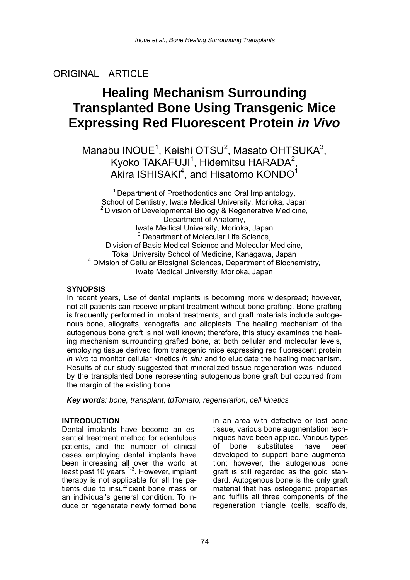## ORIGINAL ARTICLE

# **Healing Mechanism Surrounding Transplanted Bone Using Transgenic Mice Expressing Red Fluorescent Protein** *in Vivo*

Manabu INOUE<sup>1</sup>, Keishi OTSU<sup>2</sup>, Masato OHTSUKA<sup>3</sup>, Kyoko TAKAFUJI<sup>1</sup>, Hidemitsu HARADA<sup>2</sup>, Akira ISHISAKI $^4$ , and Hisatomo KONDO $^1$ 

<sup>1</sup> Department of Prosthodontics and Oral Implantology, School of Dentistry, Iwate Medical University, Morioka, Japan  $2$  Division of Developmental Biology & Regenerative Medicine, Department of Anatomy, Iwate Medical University, Morioka, Japan <sup>3</sup> Department of Molecular Life Science, Division of Basic Medical Science and Molecular Medicine, Tokai University School of Medicine, Kanagawa, Japan 4 Division of Cellular Biosignal Sciences, Department of Biochemistry, Iwate Medical University, Morioka, Japan

#### **SYNOPSIS**

In recent years, Use of dental implants is becoming more widespread; however, not all patients can receive implant treatment without bone grafting. Bone grafting is frequently performed in implant treatments, and graft materials include autogenous bone, allografts, xenografts, and alloplasts. The healing mechanism of the autogenous bone graft is not well known; therefore, this study examines the healing mechanism surrounding grafted bone, at both cellular and molecular levels, employing tissue derived from transgenic mice expressing red fluorescent protein *in vivo* to monitor cellular kinetics *in situ* and to elucidate the healing mechanism. Results of our study suggested that mineralized tissue regeneration was induced by the transplanted bone representing autogenous bone graft but occurred from the margin of the existing bone.

*Key words: bone, transplant, tdTomato, regeneration, cell kinetics* 

#### **INTRODUCTION**

Dental implants have become an essential treatment method for edentulous patients, and the number of clinical cases employing dental implants have been increasing all over the world at least past 10 years <sup>1-3</sup>. However, implant therapy is not applicable for all the patients due to insufficient bone mass or an individual's general condition. To induce or regenerate newly formed bone

in an area with defective or lost bone tissue, various bone augmentation techniques have been applied. Various types of bone substitutes have been developed to support bone augmentation; however, the autogenous bone graft is still regarded as the gold standard. Autogenous bone is the only graft material that has osteogenic properties and fulfills all three components of the regeneration triangle (cells, scaffolds,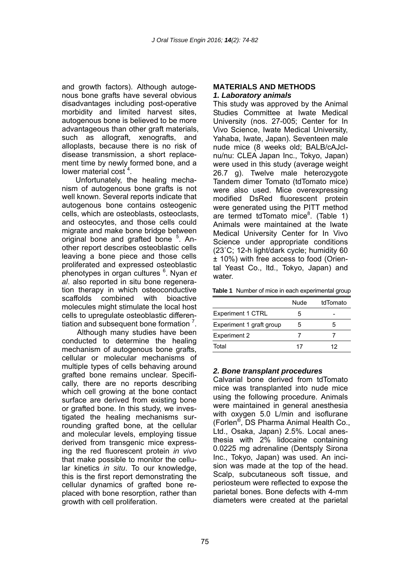and growth factors). Although autogenous bone grafts have several obvious disadvantages including post-operative morbidity and limited harvest sites, autogenous bone is believed to be more advantageous than other graft materials, such as allograft, xenografts, and alloplasts, because there is no risk of disease transmission, a short replacement time by newly formed bone, and a lower material cost<sup>4</sup>.

Unfortunately, the healing mechanism of autogenous bone grafts is not well known. Several reports indicate that autogenous bone contains osteogenic cells, which are osteoblasts, osteoclasts, and osteocytes, and those cells could migrate and make bone bridge between original bone and grafted bone <sup>5</sup>. Another report describes osteoblastic cells leaving a bone piece and those cells proliferated and expressed osteoblastic phenotypes in organ cultures <sup>6</sup> . Nyan *et al*. also reported in situ bone regeneration therapy in which osteoconductive scaffolds combined with bioactive molecules might stimulate the local host cells to upregulate osteoblastic differentiation and subsequent bone formation  $<sup>7</sup>$ .</sup>

Although many studies have been conducted to determine the healing mechanism of autogenous bone grafts, cellular or molecular mechanisms of multiple types of cells behaving around grafted bone remains unclear. Specifically, there are no reports describing which cell growing at the bone contact surface are derived from existing bone or grafted bone. In this study, we investigated the healing mechanisms surrounding grafted bone, at the cellular and molecular levels, employing tissue derived from transgenic mice expressing the red fluorescent protein *in vivo*  that make possible to monitor the cellular kinetics *in situ*. To our knowledge, this is the first report demonstrating the cellular dynamics of grafted bone replaced with bone resorption, rather than growth with cell proliferation.

#### **MATERIALS AND METHODS**  *1. Laboratory animals*

This study was approved by the Animal Studies Committee at Iwate Medical University (nos. 27-005; Center for In Vivo Science, Iwate Medical University, Yahaba, Iwate, Japan). Seventeen male nude mice (8 weeks old; BALB/cAJclnu/nu: CLEA Japan Inc., Tokyo, Japan) were used in this study (average weight 26.7 g). Twelve male heterozygote Tandem dimer Tomato (tdTomato mice) were also used. Mice overexpressing modified DsRed fluorescent protein were generated using the PITT method are termed tdTomato mice $^8$ . (Table 1) Animals were maintained at the Iwate Medical University Center for In Vivo Science under appropriate conditions (23˚C; 12-h light/dark cycle; humidity 60 ± 10%) with free access to food (Oriental Yeast Co., ltd., Tokyo, Japan) and water

|                          | Nude | tdTomato |
|--------------------------|------|----------|
| <b>Experiment 1 CTRL</b> | 5    |          |
| Experiment 1 graft group | 5    |          |
| <b>Experiment 2</b>      |      |          |
| Total                    | 17   | 12       |

#### *2. Bone transplant procedures*

Calvarial bone derived from tdTomato mice was transplanted into nude mice using the following procedure. Animals were maintained in general anesthesia with oxygen 5.0 L/min and isoflurane (Forlen®, DS Pharma Animal Health Co., Ltd., Osaka, Japan) 2.5%. Local anesthesia with 2% lidocaine containing 0.0225 mg adrenaline (Dentsply Sirona Inc., Tokyo, Japan) was used. An incision was made at the top of the head. Scalp, subcutaneous soft tissue, and periosteum were reflected to expose the parietal bones. Bone defects with 4-mm diameters were created at the parietal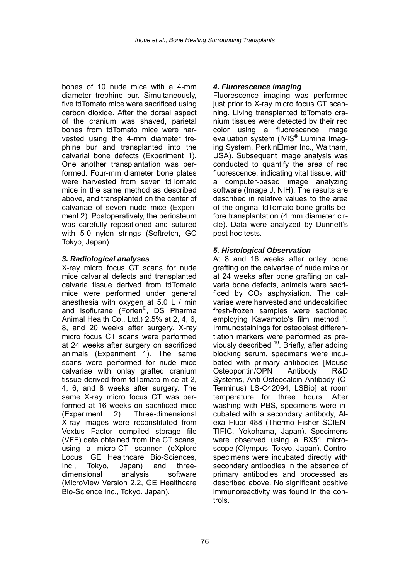bones of 10 nude mice with a 4-mm diameter trephine bur. Simultaneously, five tdTomato mice were sacrificed using carbon dioxide. After the dorsal aspect of the cranium was shaved, parietal bones from tdTomato mice were harvested using the 4-mm diameter trephine bur and transplanted into the calvarial bone defects (Experiment 1). One another transplantation was performed. Four-mm diameter bone plates were harvested from seven tdTomato mice in the same method as described above, and transplanted on the center of calvariae of seven nude mice (Experiment 2). Postoperatively, the periosteum was carefully repositioned and sutured with 5-0 nylon strings (Softretch, GC Tokyo, Japan).

#### *3. Radiological analyses*

X-ray micro focus CT scans for nude mice calvarial defects and transplanted calvaria tissue derived from tdTomato mice were performed under general anesthesia with oxygen at 5.0 L / min and isoflurane (Forlen®, DS Pharma Animal Health Co., Ltd.) 2.5% at 2, 4, 6, 8, and 20 weeks after surgery. X-ray micro focus CT scans were performed at 24 weeks after surgery on sacrificed animals (Experiment 1). The same scans were performed for nude mice calvariae with onlay grafted cranium tissue derived from tdTomato mice at 2, 4, 6, and 8 weeks after surgery. The same X-ray micro focus CT was performed at 16 weeks on sacrificed mice (Experiment 2). Three-dimensional X-ray images were reconstituted from Vextus Factor compiled storage file (VFF) data obtained from the CT scans, using a micro-CT scanner (eXplore Locus; GE Healthcare Bio-Sciences, Inc., Tokyo, Japan) and threedimensional analysis software (MicroView Version 2.2, GE Healthcare Bio-Science Inc., Tokyo. Japan).

#### *4. Fluorescence imaging*

Fluorescence imaging was performed just prior to X-ray micro focus CT scanning. Living transplanted tdTomato cranium tissues were detected by their red color using a fluorescence image evaluation system (IVIS<sup>®</sup> Lumina Imaging System, PerkinElmer Inc., Waltham, USA). Subsequent image analysis was conducted to quantify the area of red fluorescence, indicating vital tissue, with a computer-based image analyzing software (Image J, NIH). The results are described in relative values to the area of the original tdTomato bone grafts before transplantation (4 mm diameter circle). Data were analyzed by Dunnett's post hoc tests.

#### *5. Histological Observation*

At 8 and 16 weeks after onlay bone grafting on the calvariae of nude mice or at 24 weeks after bone grafting on calvaria bone defects, animals were sacrificed by  $CO<sub>2</sub>$  asphyxiation. The calvariae were harvested and undecalcified, fresh-frozen samples were sectioned employing Kawamoto's film method <sup>9</sup>. Immunostainings for osteoblast differentiation markers were performed as previously described  $10$ . Briefly, after adding blocking serum, specimens were incubated with primary antibodies [Mouse Osteopontin/OPN Antibody R&D Systems, Anti-Osteocalcin Antibody (C-Terminus) LS-C42094, LSBio] at room temperature for three hours. After washing with PBS, specimens were incubated with a secondary antibody, Alexa Fluor 488 (Thermo Fisher SCIEN-TIFIC, Yokohama, Japan). Specimens were observed using a BX51 microscope (Olympus, Tokyo, Japan). Control specimens were incubated directly with secondary antibodies in the absence of primary antibodies and processed as described above. No significant positive immunoreactivity was found in the controls.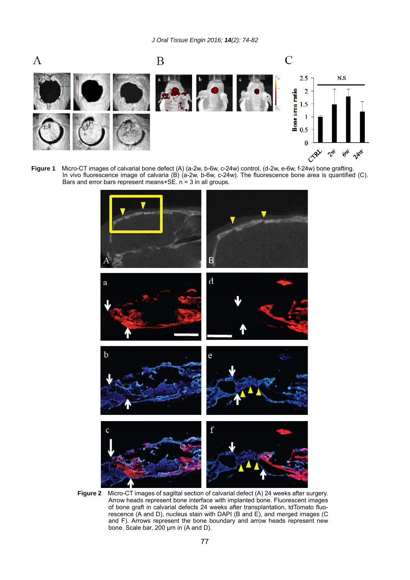

**Figure 1** Micro-CT images of calvarial bone defect (A) (a-2w, b-6w, c-24w) control, (d-2w, e-6w, f-24w) bone grafting. In vivo fluorescence image of calvaria (B) (a-2w, b-6w, c-24w). The fluorescence bone area is quantified (C). Bars and error bars represent means+SE.  $n = 3$  in all groups.



**Figure 2** Micro-CT images of sagittal section of calvarial defect (A) 24 weeks after surgery. Arrow heads represent bone interface with implanted bone. Fluorescent images of bone graft in calvarial defects 24 weeks after transplantation, tdTomato fluorescence (A and D), nucleus stain with DAPI (B and E), and merged images (C and F). Arrows represent the bone boundary and arrow heads represent new bone. Scale bar, 200 μm in (A and D).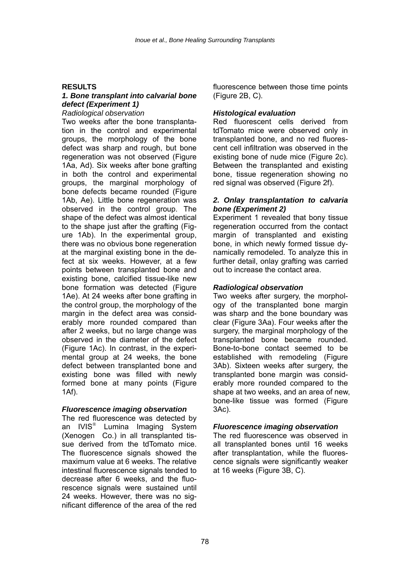#### **RESULTS**

### *1. Bone transplant into calvarial bone defect (Experiment 1)*

*Radiological observation*  Two weeks after the bone transplantation in the control and experimental groups, the morphology of the bone defect was sharp and rough, but bone regeneration was not observed (Figure 1Aa, Ad). Six weeks after bone grafting in both the control and experimental groups, the marginal morphology of bone defects became rounded (Figure 1Ab, Ae). Little bone regeneration was observed in the control group. The shape of the defect was almost identical to the shape just after the grafting (Figure 1Ab). In the experimental group, there was no obvious bone regeneration at the marginal existing bone in the defect at six weeks. However, at a few points between transplanted bone and existing bone, calcified tissue-like new bone formation was detected (Figure 1Ae). At 24 weeks after bone grafting in the control group, the morphology of the margin in the defect area was considerably more rounded compared than after 2 weeks, but no large change was observed in the diameter of the defect (Figure 1Ac). In contrast, in the experimental group at 24 weeks, the bone defect between transplanted bone and existing bone was filled with newly formed bone at many points (Figure 1Af).

#### *Fluorescence imaging observation*

The red fluorescence was detected by an IVIS*®* Lumina Imaging System (Xenogen Co.) in all transplanted tissue derived from the tdTomato mice. The fluorescence signals showed the maximum value at 6 weeks. The relative intestinal fluorescence signals tended to decrease after 6 weeks, and the fluorescence signals were sustained until 24 weeks. However, there was no significant difference of the area of the red

fluorescence between those time points (Figure 2B, C).

#### *Histological evaluation*

Red fluorescent cells derived from tdTomato mice were observed only in transplanted bone, and no red fluorescent cell infiltration was observed in the existing bone of nude mice (Figure 2c). Between the transplanted and existing bone, tissue regeneration showing no red signal was observed (Figure 2f).

#### *2. Onlay transplantation to calvaria bone (Experiment 2)*

Experiment 1 revealed that bony tissue regeneration occurred from the contact margin of transplanted and existing bone, in which newly formed tissue dynamically remodeled. To analyze this in further detail, onlay grafting was carried out to increase the contact area.

#### *Radiological observation*

Two weeks after surgery, the morphology of the transplanted bone margin was sharp and the bone boundary was clear (Figure 3Aa). Four weeks after the surgery, the marginal morphology of the transplanted bone became rounded. Bone-to-bone contact seemed to be established with remodeling (Figure 3Ab). Sixteen weeks after surgery, the transplanted bone margin was considerably more rounded compared to the shape at two weeks, and an area of new, bone-like tissue was formed (Figure 3Ac).

#### *Fluorescence imaging observation*

The red fluorescence was observed in all transplanted bones until 16 weeks after transplantation, while the fluorescence signals were significantly weaker at 16 weeks (Figure 3B, C).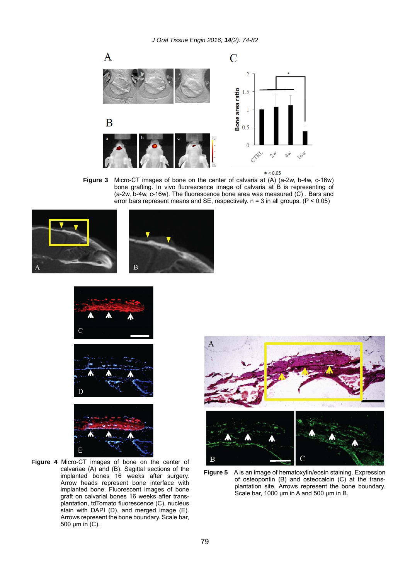

 $* < 0.05$ 

**Figure 3** Micro-CT images of bone on the center of calvaria at (A) (a-2w, b-4w, c-16w) bone grafting. In vivo fluorescence image of calvaria at B is representing of (a-2w, b-4w, c-16w). The fluorescence bone area was measured (C) . Bars and error bars represent means and SE, respectively.  $n = 3$  in all groups. ( $P < 0.05$ )







**Figure 4** Micro-CT images of bone on the center of calvariae (A) and (B). Sagittal sections of the implanted bones 16 weeks after surgery. Arrow heads represent bone interface with implanted bone. Fluorescent images of bone graft on calvarial bones 16 weeks after transplantation, tdTomato fluorescence (C), nucleus stain with DAPI (D), and merged image (E). Arrows represent the bone boundary. Scale bar, 500 μm in (C).





**Figure 5** A is an image of hematoxylin/eosin staining. Expression of osteopontin (B) and osteocalcin (C) at the transplantation site. Arrows represent the bone boundary. Scale bar, 1000 μm in A and 500 μm in B.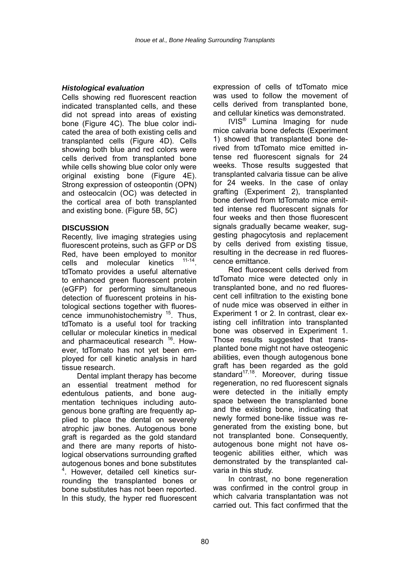#### *Histological evaluation*

Cells showing red fluorescent reaction indicated transplanted cells, and these did not spread into areas of existing bone (Figure 4C). The blue color indicated the area of both existing cells and transplanted cells (Figure 4D). Cells showing both blue and red colors were cells derived from transplanted bone while cells showing blue color only were original existing bone (Figure 4E). Strong expression of osteopontin (OPN) and osteocalcin (OC) was detected in the cortical area of both transplanted and existing bone. (Figure 5B, 5C)

### **DISCUSSION**

Recently, live imaging strategies using fluorescent proteins, such as GFP or DS Red, have been employed to monitor cells and molecular kinetics 11-14. tdTomato provides a useful alternative to enhanced green fluorescent protein (eGFP) for performing simultaneous detection of fluorescent proteins in histological sections together with fluorescence immunohistochemistry 15. Thus, tdTomato is a useful tool for tracking cellular or molecular kinetics in medical and pharmaceutical research <sup>16</sup>. However, tdTomato has not yet been employed for cell kinetic analysis in hard tissue research.

Dental implant therapy has become an essential treatment method for edentulous patients, and bone augmentation techniques including autogenous bone grafting are frequently applied to place the dental on severely atrophic jaw bones. Autogenous bone graft is regarded as the gold standard and there are many reports of histological observations surrounding grafted autogenous bones and bone substitutes 4 . However, detailed cell kinetics surrounding the transplanted bones or bone substitutes has not been reported. In this study, the hyper red fluorescent expression of cells of tdTomato mice was used to follow the movement of cells derived from transplanted bone, and cellular kinetics was demonstrated.

IVIS® Lumina Imaging for nude mice calvaria bone defects (Experiment 1) showed that transplanted bone derived from tdTomato mice emitted intense red fluorescent signals for 24 weeks. Those results suggested that transplanted calvaria tissue can be alive for 24 weeks. In the case of onlay grafting (Experiment 2), transplanted bone derived from tdTomato mice emitted intense red fluorescent signals for four weeks and then those fluorescent signals gradually became weaker, suggesting phagocytosis and replacement by cells derived from existing tissue, resulting in the decrease in red fluorescence emittance.

Red fluorescent cells derived from tdTomato mice were detected only in transplanted bone, and no red fluorescent cell infiltration to the existing bone of nude mice was observed in either in Experiment 1 or 2. In contrast, clear existing cell infiltration into transplanted bone was observed in Experiment 1. Those results suggested that transplanted bone might not have osteogenic abilities, even though autogenous bone graft has been regarded as the gold standard $17,18$ . Moreover, during tissue regeneration, no red fluorescent signals were detected in the initially empty space between the transplanted bone and the existing bone, indicating that newly formed bone-like tissue was regenerated from the existing bone, but not transplanted bone. Consequently, autogenous bone might not have osteogenic abilities either, which was demonstrated by the transplanted calvaria in this study.

In contrast, no bone regeneration was confirmed in the control group in which calvaria transplantation was not carried out. This fact confirmed that the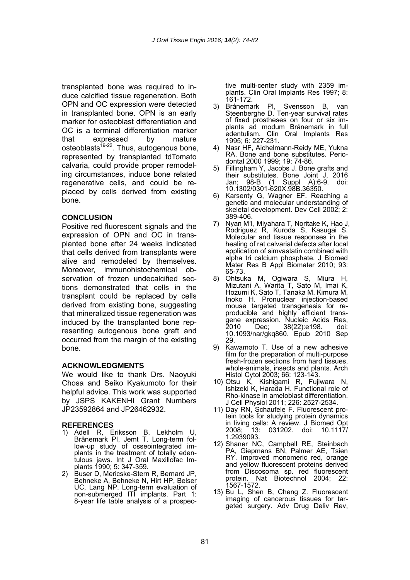transplanted bone was required to induce calcified tissue regeneration. Both OPN and OC expression were detected in transplanted bone. OPN is an early marker for osteoblast differentiation and OC is a terminal differentiation marker that expressed by mature osteoblasts $19-22$ . Thus, autogenous bone, represented by transplanted tdTomato calvaria, could provide proper remodeling circumstances, induce bone related regenerative cells, and could be replaced by cells derived from existing bone.

#### **CONCLUSION**

Positive red fluorescent signals and the expression of OPN and OC in transplanted bone after 24 weeks indicated that cells derived from transplants were alive and remodeled by themselves. Moreover, immunohistochemical observation of frozen undecalcified sections demonstrated that cells in the transplant could be replaced by cells derived from existing bone, suggesting that mineralized tissue regeneration was induced by the transplanted bone representing autogenous bone graft and occurred from the margin of the existing bone.

#### **ACKNOWLEDGMENTS**

We would like to thank Drs. Naoyuki Chosa and Seiko Kyakumoto for their helpful advice. This work was supported by JSPS KAKENHI Grant Numbers JP23592864 and JP26462932.

#### **REFERENCES**

- 1) Adell R, Eriksson B, Lekholm U, Brånemark PI, Jemt T. Long-term follow-up study of osseointegrated implants in the treatment of totally edentulous jaws. Int J Oral Maxillofac Implants 1990; 5: 347-359.
- 2) Buser D, Mericske-Stern R, Bernard JP, Behneke A, Behneke N, Hirt HP, Belser UC, Lang NP. Long-term evaluation of non-submerged ITI implants. Part 1: 8-year life table analysis of a prospec-

tive multi-center study with 2359 implants. Clin Oral Implants Res 1997; 8: 161-172.

- 3) Brånemark PI, Svensson B, van Steenberghe D. Ten-year survival rates of fixed prostheses on four or six implants ad modum Brånemark in full edentulism. Clin Oral Implants Res 1995; 6: 227-231.
- 4) Nasr HF, Aichelmann-Reidy ME, Yukna RA. Bone and bone substitutes. Periodontal 2000 1999; 19: 74-86.
- 5) Fillingham Y, Jacobs J. Bone grafts and their substitutes. Bone Joint J, 2016 Jan; 98-B (1 Suppl A):6-9. doi: Jan; 98-B (1 Suppl A):6-<br>10.1302/0301-620X.98B.36350.
- 6) Karsenty G, Wagner EF. Reaching a genetic and molecular understanding of skeletal development. Dev Cell 2002; 2: 389-406.
- 7) Nyan M1, Miyahara T, Noritake K, Hao J, Rodriguez R, Kuroda S, Kasugai S. Molecular and tissue responses in the healing of rat calvarial defects after local application of simvastatin combined with alpha tri calcium phosphate. J Biomed Mater Res B Appl Biomater 2010; 93: 65-73.
- 8) Ohtsuka M, Ogiwara S, Miura H, Mizutani A, Warita T, Sato M, Imai K, Hozumi K, Sato T, Tanaka M, Kimura M, Inoko H. Pronuclear injection-based mouse targeted transgenesis for reproducible and highly efficient transgene expression. Nucleic Acids Res, 2010 Dec; 38(22):e198. doi: 10.1093/nar/gkq860. Epub 2010 Sep 29.
- 9) Kawamoto T. Use of a new adhesive film for the preparation of multi-purpose fresh-frozen sections from hard tissues, whole-animals, insects and plants. Arch Histol Cytol 2003; 66: 123-143.
- 10) Otsu K, Kishigami R, Fujiwara N, Ishizeki K, Harada H. Functional role of Rho-kinase in ameloblast differentiation. J Cell Physiol 2011; 226: 2527-2534.
- 11) Day RN, Schaufele F. Fluorescent protein tools for studying protein dynamics in living cells: A review. J Biomed Opt 13: 031202. doi: 1.2939093.
- 12) Shaner NC, Campbell RE, Steinbach PA, Giepmans BN, Palmer AE, Tsien RY. Improved monomeric red, orange and yellow fluorescent proteins derived from Discosoma sp. red fluorescent protein. Nat Biotechnol 2004; 22: 1567-1572.
- 13) Bu L, Shen B, Cheng Z. Fluorescent imaging of cancerous tissues for targeted surgery. Adv Drug Deliv Rev,